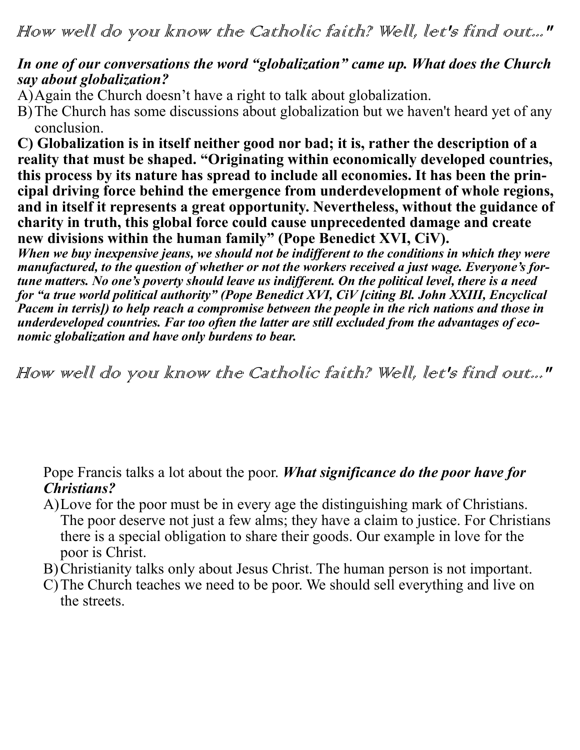## *In one of our conversations the word "globalization" came up. What does the Church say about globalization?*

A)Again the Church doesn't have a right to talk about globalization.

B)The Church has some discussions about globalization but we haven't heard yet of any conclusion.

**C) Globalization is in itself neither good nor bad; it is, rather the description of a reality that must be shaped. "Originating within economically developed countries, this process by its nature has spread to include all economies. It has been the principal driving force behind the emergence from underdevelopment of whole regions, and in itself it represents a great opportunity. Nevertheless, without the guidance of charity in truth, this global force could cause unprecedented damage and create new divisions within the human family" (Pope Benedict XVI, CiV).**

*When we buy inexpensive jeans, we should not be indifferent to the conditions in which they were manufactured, to the question of whether or not the workers received a just wage. Everyone's fortune matters. No one's poverty should leave us indifferent. On the political level, there is a need for "a true world political authority" (Pope Benedict XVI, CiV [citing Bl. John XXIII, Encyclical Pacem in terris]) to help reach a compromise between the people in the rich nations and those in underdeveloped countries. Far too often the latter are still excluded from the advantages of economic globalization and have only burdens to bear.*

How well do you know the Catholic faith? Well, let's find out..."

Pope Francis talks a lot about the poor. *What significance do the poor have for Christians?*

- A)Love for the poor must be in every age the distinguishing mark of Christians. The poor deserve not just a few alms; they have a claim to justice. For Christians there is a special obligation to share their goods. Our example in love for the poor is Christ.
- B)Christianity talks only about Jesus Christ. The human person is not important.
- C)The Church teaches we need to be poor. We should sell everything and live on the streets.